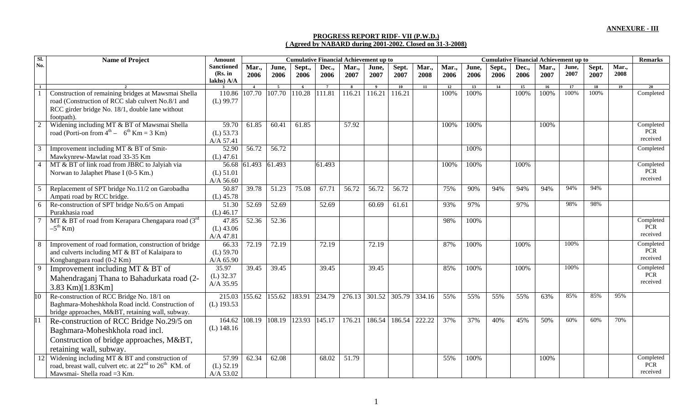## **PROGRESS REPORT RIDF- VII (P.W.D.) ( Agreed by NABARD during 2001-2002. Closed on 31-3-2008)**

| Sl.            | <b>Name of Project</b>                                                                                                                                                    | Amount                                     |                |                    | <b>Cumulative Financial Achievement up to</b> |                |                         |                          |               |                 |               | <b>Cumulative Financial Achievement up to</b> |                |               |               |               |               |               |                                     |
|----------------|---------------------------------------------------------------------------------------------------------------------------------------------------------------------------|--------------------------------------------|----------------|--------------------|-----------------------------------------------|----------------|-------------------------|--------------------------|---------------|-----------------|---------------|-----------------------------------------------|----------------|---------------|---------------|---------------|---------------|---------------|-------------------------------------|
| No.            |                                                                                                                                                                           | <b>Sanctioned</b><br>(Rs. in<br>lakhs) A/A | Mar.,<br>2006  | June,<br>2006      | Sept.,<br>2006                                | Dec.,<br>2006  | Mar.,<br>2007           | June,<br>2007            | Sept.<br>2007 | Mar.,<br>2008   | Mar.,<br>2006 | June,<br>2006                                 | Sept.,<br>2006 | Dec.,<br>2006 | Mar.,<br>2007 | June,<br>2007 | Sept.<br>2007 | Mar.,<br>2008 |                                     |
| $\mathbf{1}$   |                                                                                                                                                                           |                                            | $\overline{4}$ | $\overline{5}$     | - 6                                           | $\overline{7}$ | $\overline{\mathbf{8}}$ | $\overline{\phantom{a}}$ | 10            | $\overline{11}$ | 12            | 13                                            | 14             | 15            | <b>16</b>     | 17            | 18            | 19            |                                     |
|                | Construction of remaining bridges at Mawsmai Shella<br>road (Construction of RCC slab culvert No.8/1 and<br>RCC girder bridge No. 18/1, double lane without<br>footpath). | 110.86<br>$(L)$ 99.77                      | 107.70         | 107.70             | 110.28                                        | 111.81         | 116.21                  | 116.21                   | 116.21        |                 | 100%          | 100%                                          |                | 100%          | 100%          | 100%          | 100%          |               | Completed                           |
| $\overline{2}$ | Widening including MT & BT of Mawsmai Shella<br>road (Porti-on from $4^{\text{th}} - 6^{\text{th}}$ Km = 3 Km)                                                            | 59.70<br>$(L)$ 53.73<br>A/A 57.41          | 61.85          | 60.41              | 61.85                                         |                | 57.92                   |                          |               |                 | 100%          | 100%                                          |                |               | 100%          |               |               |               | Completed<br><b>PCR</b><br>received |
| 3              | Improvement including MT & BT of Smit-<br>Mawkynrew-Mawlat road 33-35 Km                                                                                                  | 52.90<br>$(L)$ 47.61                       | 56.72          | 56.72              |                                               |                |                         |                          |               |                 |               | 100%                                          |                |               |               |               |               |               | Completed                           |
| $\overline{4}$ | MT & BT of link road from JBRC to Jalyiah via<br>Norwan to Jalaphet Phase I (0-5 Km.)                                                                                     | $(L)$ 51.01<br>A/A $56.60$                 | 56.68 61.493   | 61.493             |                                               | 61.493         |                         |                          |               |                 | 100%          | 100%                                          |                | 100%          |               |               |               |               | Completed<br><b>PCR</b><br>received |
| 5              | Replacement of SPT bridge No.11/2 on Garobadha<br>Ampati road by RCC bridge.                                                                                              | 50.87<br>$(L)$ 45.78                       | 39.78          | $\overline{51.23}$ | 75.08                                         | 67.71          | $\overline{56.72}$      | 56.72                    | 56.72         |                 | 75%           | 90%                                           | 94%            | 94%           | 94%           | 94%           | 94%           |               |                                     |
| 6              | Re-construction of SPT bridge No.6/5 on Ampati<br>Purakhasia road                                                                                                         | 51.30<br>$(L)$ 46.17                       | 52.69          | 52.69              |                                               | 52.69          |                         | 60.69                    | 61.61         |                 | 93%           | 97%                                           |                | 97%           |               | 98%           | 98%           |               |                                     |
|                | MT & BT of road from Kerapara Chengapara road $(3rd$<br>$-5^{\text{th}}$ Km)                                                                                              | 47.85<br>$(L)$ 43.06<br>A/A 47.81          | 52.36          | 52.36              |                                               |                |                         |                          |               |                 | 98%           | 100%                                          |                |               |               |               |               |               | Completed<br><b>PCR</b><br>received |
| 8              | Improvement of road formation, construction of bridge<br>and culverts including MT & BT of Kalaipara to<br>Kongbangpara road (0-2 Km)                                     | 66.33<br>$(L)$ 59.70<br>A/A 65.90          | 72.19          | 72.19              |                                               | 72.19          |                         | 72.19                    |               |                 | 87%           | 100%                                          |                | 100%          |               | 100%          |               |               | Completed<br>PCR<br>received        |
| $\mathbf{q}$   | Improvement including MT & BT of<br>Mahendraganj Thana to Bahadurkata road (2-<br>3.83 Km)[1.83Km]                                                                        | 35.97<br>$(L)$ 32.37<br>A/A 35.95          | 39.45          | 39.45              |                                               | 39.45          |                         | 39.45                    |               |                 | 85%           | 100%                                          |                | 100%          |               | 100%          |               |               | Completed<br><b>PCR</b><br>received |
| 10             | Re-construction of RCC Bridge No. 18/1 on<br>Baghmara-Moheshkhola Road incld. Construction of<br>bridge approaches, M&BT, retaining wall, subway.                         | 215.03<br>$(L)$ 193.53                     | 155.62         | 155.62             | 183.91                                        | 234.79         |                         | 276.13 301.52            | 305.79        | 334.16          | 55%           | 55%                                           | 55%            | 55%           | 63%           | 85%           | 85%           | 95%           |                                     |
| 11             | Re-construction of RCC Bridge No.29/5 on<br>Baghmara-Moheshkhola road incl.<br>Construction of bridge approaches, M&BT,<br>retaining wall, subway.                        | 164.62<br>$(L)$ 148.16                     | 108.19         | 108.19             | 123.93                                        | 145.17         | 176.21                  | 186.54                   | 186.54        | 222.22          | 37%           | 37%                                           | 40%            | 45%           | 50%           | 60%           | 60%           | 70%           |                                     |
| 12             | Widening including MT & BT and construction of<br>road, breast wall, culvert etc. at 22 <sup>nd</sup> to 26 <sup>th</sup> KM. of<br>Mawsmai-Shella road = 3 Km.           | 57.99<br>$(L)$ 52.19<br>A/A 53.02          | 62.34          | 62.08              |                                               | 68.02          | 51.79                   |                          |               |                 | 55%           | 100%                                          |                |               | 100%          |               |               |               | Completed<br><b>PCR</b><br>received |